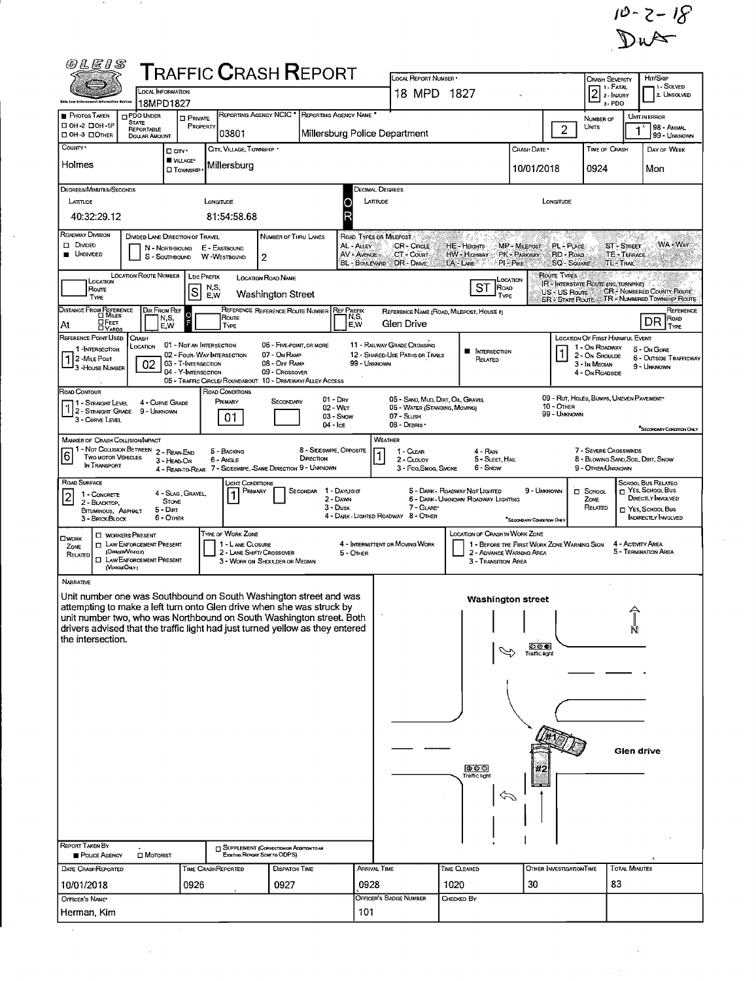$10 - 2 - 18$ <br>Dust

 $\bar{\phantom{a}}$ 

 $\frac{1}{2} \left( \frac{1}{2} \right)$ 

| <b>@LEIS</b>                                                                                                                                                                                                                                                                                                                                                                                      |                                                                                    | ${\sf T}$ RAFFIC ${\sf C}$ RASH ${\sf R}$ EPORT |                                  | LOCAL REPORT NUMBER .                                                                                                                                                                                          |                                                                            |                                        |                                               | <b>CRASH SEVERITY</b>                             |                                              | HIT/SKIP                                     |  |  |  |
|---------------------------------------------------------------------------------------------------------------------------------------------------------------------------------------------------------------------------------------------------------------------------------------------------------------------------------------------------------------------------------------------------|------------------------------------------------------------------------------------|-------------------------------------------------|----------------------------------|----------------------------------------------------------------------------------------------------------------------------------------------------------------------------------------------------------------|----------------------------------------------------------------------------|----------------------------------------|-----------------------------------------------|---------------------------------------------------|----------------------------------------------|----------------------------------------------|--|--|--|
| <b>LOCAL INFORMATION</b><br>18MPD1827                                                                                                                                                                                                                                                                                                                                                             |                                                                                    |                                                 |                                  | 18 MPD 1827                                                                                                                                                                                                    |                                                                            |                                        | 1 - Fatal<br>$\vert$ 2<br>2 - INJURY<br>3-PDO |                                                   | 1 - SOLVED<br>2. Unsolved                    |                                              |  |  |  |
| <b>PHOTOS TAKEN</b><br>PDO UNDER<br><b>STATE</b>                                                                                                                                                                                                                                                                                                                                                  | <b>D</b> PRIVATE                                                                   | REPORTING AGENCY NCIC * REPORTING AGENCY NAME * |                                  |                                                                                                                                                                                                                |                                                                            | $\overline{2}$                         | NUMBER OF                                     |                                                   | <b>UNIT IN ERROR</b>                         |                                              |  |  |  |
| □ 0Н-2 □ 0Н-1Р<br>REPORTABLE<br>□ OH-3 □ OTHER<br><b>DOLLAR AMOUNT</b>                                                                                                                                                                                                                                                                                                                            | PROPERTY<br>03801                                                                  |                                                 | Millersburg Police Department    |                                                                                                                                                                                                                | UNITS                                                                      |                                        | 98 - ANIMAL<br>99 - UNKNOWN                   |                                                   |                                              |                                              |  |  |  |
| County .<br>□ cm·<br>VILLAGE*                                                                                                                                                                                                                                                                                                                                                                     | CITY, VILLAGE, TOWNSHIP                                                            |                                                 |                                  |                                                                                                                                                                                                                |                                                                            | CRASH DATE                             |                                               | <b>TIME OF CRASH</b>                              |                                              | DAY OF WEEK                                  |  |  |  |
| Holmes                                                                                                                                                                                                                                                                                                                                                                                            | Millersburg<br><b>O</b> TownsHIP                                                   |                                                 |                                  |                                                                                                                                                                                                                |                                                                            | 10/01/2018                             |                                               | 0924                                              |                                              | Mon                                          |  |  |  |
| DEGREES/MINUTES/SECONDS                                                                                                                                                                                                                                                                                                                                                                           |                                                                                    |                                                 | Decimal Degrees                  |                                                                                                                                                                                                                |                                                                            |                                        |                                               |                                                   |                                              |                                              |  |  |  |
| LONGITUDE<br>LATTUDE<br>LONGITUDE<br>LATTUDE<br>R<br>40:32:29.12<br>81:54:58.68                                                                                                                                                                                                                                                                                                                   |                                                                                    |                                                 |                                  |                                                                                                                                                                                                                |                                                                            |                                        |                                               |                                                   |                                              |                                              |  |  |  |
| <b>ROADWAY DIVISION</b><br>DIVIDED LANE DIRECTION OF TRAVEL<br>NUMBER OF THRU LANES<br>ROAD TYPES OR MILEPOST                                                                                                                                                                                                                                                                                     |                                                                                    |                                                 |                                  |                                                                                                                                                                                                                |                                                                            |                                        |                                               |                                                   |                                              |                                              |  |  |  |
| WA + WAY<br>$\square$ Divided<br>AL - ALLEY<br><b>CR-CRCLE</b><br>HE - Heights<br>MP - MILEPOST<br>PL - PLACE<br>ST - STREET<br>N - Northbound<br>E - EASTBOUND<br><b>UNDIVIDED</b><br>AV - AVENUE<br>PK - PARKWAY<br>RD - ROAD<br>TE - TERRACE<br>CT - Count<br>HW - Highway<br>S - SOUTHBOUND<br>W-WESTBOUND<br>2<br>LA LWE<br>PI-PIKE<br>BL BOULEVARD DR DRIVE<br><b>SQ-SQUARE</b><br>TL-TRAIL |                                                                                    |                                                 |                                  |                                                                                                                                                                                                                |                                                                            |                                        |                                               |                                                   |                                              |                                              |  |  |  |
| <b>LOCATION ROUTE NUMBER</b><br>Route Types<br><b>LDC PREFIX</b><br><b>LOCATION ROAD NAME</b><br>LOCATION<br>LOCATION<br>IR - INTERSTATE ROUTE (INC. TURNPIKE)<br>ST ROAD<br>N,S,<br>Route<br>S<br><b>CR-NUMBERED COUNTY ROUTE</b><br>US-US Route                                                                                                                                                 |                                                                                    |                                                 |                                  |                                                                                                                                                                                                                |                                                                            |                                        |                                               |                                                   |                                              |                                              |  |  |  |
| TYPE                                                                                                                                                                                                                                                                                                                                                                                              | E.W                                                                                | Washington Street                               |                                  |                                                                                                                                                                                                                | TYPE                                                                       |                                        | <b>SR - STATE ROUTE</b>                       |                                                   |                                              | TR-NUMBERED TOWNSHIP ROUTE                   |  |  |  |
| DISTANCE FROM REFERENCE<br><b>DIR FROM REF</b><br>N.S.<br><b>A</b> FEET<br>At<br>E,W                                                                                                                                                                                                                                                                                                              | $\circ$<br>Route<br>TYPE                                                           | REFERENCE REFERENCE ROUTE NUMBER                | <b>REF PREFIX</b><br>N,S,<br>E.W | Gien Drive                                                                                                                                                                                                     | REFERENCE NAME (ROAD, MILEPOST, HOUSE #)                                   |                                        |                                               |                                                   |                                              | REFERENCE<br>ROAD<br>DR<br><b>TYPE</b>       |  |  |  |
| REFERENCE POINT USED<br>CRASH<br>LOCATION                                                                                                                                                                                                                                                                                                                                                         | 01 - Not an Intersection                                                           | 06 - FIVE POINT, OR MORE                        |                                  | 11 - RAILWAY GRADE CROSSING                                                                                                                                                                                    |                                                                            |                                        |                                               | LOCATION OF FIRST HARMFUL EVENT<br>1 - On ROADWAY |                                              |                                              |  |  |  |
| 1 INTERSECTION<br>1<br>2 - MILE POST<br>02                                                                                                                                                                                                                                                                                                                                                        | 02 - Four-WAY INTERSECTION<br>03 - T-INTERSECTION                                  | 07 - On RAMP<br>08 - Off RAMP                   | 99 - UNKNOWN                     | 12 - SHARED-USE PATHS OR TRAILS                                                                                                                                                                                | <b>N</b> INTERSECTION<br>Relateo                                           |                                        |                                               | 2 - On Shoulde<br>3 - In Median                   | 5 - On Gone<br><b>6 - OUTSIDE TRAFFICWAY</b> |                                              |  |  |  |
| 3 - House Number                                                                                                                                                                                                                                                                                                                                                                                  | 04 - Y-INTERSECTION<br>05 - TRAFFIC CIRCLE/ ROUNDABOUT 10 - DRIVEWAY/ ALLEY ACCESS |                                                 |                                  |                                                                                                                                                                                                                | 4 - On ROADSIDE                                                            |                                        | 9 - UNKNOWN                                   |                                                   |                                              |                                              |  |  |  |
| ROAD CONTOUR                                                                                                                                                                                                                                                                                                                                                                                      | ROAD CONDITIONS<br>PRIMARY                                                         | $01 - \text{Dry}$<br>SECONDARY                  |                                  | 05 - SAND, MUD, DIRT, OIL, GRAVEL                                                                                                                                                                              |                                                                            |                                        |                                               | 09 - RUT, HOLES, BUMPS, UNEVEN PAVEMENT*          |                                              |                                              |  |  |  |
| 4 - CURVE GRADE<br>11 - Straight Level<br>$\lceil \cdot \rceil \rceil$ - Straight Grade<br>10 - Отнев<br>02 - WET<br>06 - WATER (STANDING, MOVING)<br>9 - UNKNOWN<br>99 - Unknown<br>03 - Snow<br>07 - SLUSH<br>01<br>3 - CURVE LEVEL                                                                                                                                                             |                                                                                    |                                                 |                                  |                                                                                                                                                                                                                |                                                                            |                                        |                                               |                                                   |                                              |                                              |  |  |  |
| 04 - Ice<br>08 - DEBRIS ·<br>"SECONDARY CONDITION ONLY<br>WEATHER<br><b>MANNER OF CRASH COLLISION/IMPACT</b>                                                                                                                                                                                                                                                                                      |                                                                                    |                                                 |                                  |                                                                                                                                                                                                                |                                                                            |                                        |                                               |                                                   |                                              |                                              |  |  |  |
| 1 - Not Collision Between 2 - Rear-End<br>$\overline{6}$<br><b>TWO MOTOR VEHICLES</b><br>3 - HEAD-ON<br>IN TRANSPORT<br>4 - REAR-TO-REAR 7 - SIDESWIPE, -SAME DIRECTION 9 - UNKNOWN                                                                                                                                                                                                               | 4 - RAIN<br>5 - SLEET HAL<br>3 - FOG, SMOG, SMOKE<br>6 - Snow                      |                                                 |                                  | 7 - SEVERE CROSSWINDS<br>8 - BLOWING SAND, SOIL, DIRT, SNOW<br>9 - OTHER/UNKNOWN                                                                                                                               |                                                                            |                                        |                                               |                                                   |                                              |                                              |  |  |  |
| ROAD SURFACE<br>4 - Slag, Gravel<br>1 - CONCRETE                                                                                                                                                                                                                                                                                                                                                  | LIGHT CONDITIONS<br>PRIMARY<br>$\mathbf{1}$                                        | SECONDAR                                        | 1 - DAYUGHT                      |                                                                                                                                                                                                                | 5 - DARK - ROADWAY NOT LIGHTED                                             | 9 - Unknown                            |                                               | $\Box$ School                                     |                                              | SCHOOL BUS RELATEO<br>$\Box$ Yes, School Bus |  |  |  |
| 2<br><b>STONE</b><br>2 - BLACKTOP,<br>$5 - Dir$<br>BITUMINOUS, ASPHALT                                                                                                                                                                                                                                                                                                                            |                                                                                    | 2 - DAWN<br>$3 - D$ usk                         |                                  | 7 - GLARE*                                                                                                                                                                                                     | 6 - DARK - UNKNOWN ROADWAY LIGHTING                                        |                                        |                                               | ZONE<br>RELATED                                   |                                              | DIRECTLY INVOLVED<br>T YES SCHOOL BUS        |  |  |  |
| 6 - OTHER<br>3 - BRICK/BLOCK                                                                                                                                                                                                                                                                                                                                                                      | <b>TYPE OF WORK ZONE</b>                                                           |                                                 |                                  | 4 - DARK - LIGHTED ROADWAY 8 - OTHER                                                                                                                                                                           |                                                                            | "SECONDARY CONDITION ONL               |                                               |                                                   |                                              | <b>INDIRECTLY INVOLVED</b>                   |  |  |  |
| <b>D</b> WORKERS PRESENT<br><b>OWORK</b><br><b>T LAW ENFORCEMENT PRESENT</b><br>ZONE<br>(Orncer/Verran)<br>RELATED<br>O.<br>LAW ENFORCEMENT PRESENT                                                                                                                                                                                                                                               | 1 - L ANE CLOSURE<br>2 - LANE SHIFT/ CROSSOVER                                     | 3 - WORK ON SHOULDER OR MEDIAN                  | 5 - OTHER                        | LOCATION OF CRASH IN WORK ZONE<br>4 - INTERMITTENT OR MOVING WORK<br>1 - BEFORE THE FIRST WORK ZONE WARNING SIGN<br>4 - Activity Area<br>5 - TERMINATION AREA<br>2 - ADVANCE WARNING AREA<br>3 - Transmon Area |                                                                            |                                        |                                               |                                                   |                                              |                                              |  |  |  |
| (VEGGLEONLY)<br><b>NARRATIVE</b>                                                                                                                                                                                                                                                                                                                                                                  |                                                                                    |                                                 |                                  |                                                                                                                                                                                                                |                                                                            |                                        |                                               |                                                   |                                              |                                              |  |  |  |
| Unit number one was Southbound on South Washington street and was<br>attempting to make a left turn onto Glen drive when she was struck by                                                                                                                                                                                                                                                        |                                                                                    |                                                 |                                  |                                                                                                                                                                                                                | <b>Washington street</b><br>$\mathbf{1}$ and $\mathbf{1}$ and $\mathbf{1}$ |                                        |                                               |                                                   | 슈                                            |                                              |  |  |  |
| unit number two, who was Northbound on South Washington street. Both<br>drivers advised that the traffic light had just turned yellow as they entered<br>the intersection.                                                                                                                                                                                                                        |                                                                                    |                                                 |                                  |                                                                                                                                                                                                                | N                                                                          |                                        |                                               |                                                   |                                              |                                              |  |  |  |
|                                                                                                                                                                                                                                                                                                                                                                                                   |                                                                                    |                                                 |                                  |                                                                                                                                                                                                                |                                                                            | $\circ \circ \bullet$<br>Traffic light |                                               |                                                   |                                              |                                              |  |  |  |
|                                                                                                                                                                                                                                                                                                                                                                                                   |                                                                                    |                                                 |                                  |                                                                                                                                                                                                                |                                                                            |                                        |                                               |                                                   |                                              |                                              |  |  |  |
|                                                                                                                                                                                                                                                                                                                                                                                                   |                                                                                    |                                                 |                                  |                                                                                                                                                                                                                |                                                                            |                                        |                                               |                                                   |                                              |                                              |  |  |  |
|                                                                                                                                                                                                                                                                                                                                                                                                   |                                                                                    |                                                 |                                  |                                                                                                                                                                                                                |                                                                            |                                        |                                               |                                                   |                                              |                                              |  |  |  |
|                                                                                                                                                                                                                                                                                                                                                                                                   |                                                                                    |                                                 |                                  |                                                                                                                                                                                                                |                                                                            |                                        |                                               |                                                   |                                              |                                              |  |  |  |
|                                                                                                                                                                                                                                                                                                                                                                                                   |                                                                                    |                                                 |                                  | Glen drive                                                                                                                                                                                                     |                                                                            |                                        |                                               |                                                   |                                              |                                              |  |  |  |
|                                                                                                                                                                                                                                                                                                                                                                                                   |                                                                                    |                                                 |                                  | $\bullet \circ \circ$<br>#2                                                                                                                                                                                    |                                                                            |                                        |                                               |                                                   |                                              |                                              |  |  |  |
|                                                                                                                                                                                                                                                                                                                                                                                                   |                                                                                    |                                                 |                                  | Traffic light                                                                                                                                                                                                  |                                                                            |                                        |                                               |                                                   |                                              |                                              |  |  |  |
|                                                                                                                                                                                                                                                                                                                                                                                                   |                                                                                    |                                                 |                                  | Þ                                                                                                                                                                                                              |                                                                            |                                        |                                               |                                                   |                                              |                                              |  |  |  |
|                                                                                                                                                                                                                                                                                                                                                                                                   |                                                                                    |                                                 |                                  |                                                                                                                                                                                                                |                                                                            |                                        |                                               |                                                   |                                              |                                              |  |  |  |
| <b>REPORT TAKEN BY</b>                                                                                                                                                                                                                                                                                                                                                                            |                                                                                    | <b>SUPPLEMENT (CORRECTION OR ADDITION TO AN</b> |                                  |                                                                                                                                                                                                                |                                                                            |                                        |                                               |                                                   |                                              |                                              |  |  |  |
| POLICE AGENCY<br><b>ID</b> MOTORIST<br>DATE CRASHREPORTED                                                                                                                                                                                                                                                                                                                                         | Time CrashReported                                                                 | Existiva Report Sent to ODPS)<br>DISPATCH TIME  | ARRIVAL TIME                     |                                                                                                                                                                                                                | OTHER INVESTIGATION TIME                                                   | <b>TOTAL MINUTES</b>                   |                                               |                                                   |                                              |                                              |  |  |  |
| 10/01/2018                                                                                                                                                                                                                                                                                                                                                                                        | 0926                                                                               | 0927                                            | 0928                             | TIME CLEARED<br>30<br>1020                                                                                                                                                                                     |                                                                            |                                        |                                               | 83                                                |                                              |                                              |  |  |  |
| OFFICER'S NAME*                                                                                                                                                                                                                                                                                                                                                                                   |                                                                                    |                                                 |                                  | OFFICER'S BADGE NUMBER                                                                                                                                                                                         | CHECKED BY                                                                 |                                        |                                               |                                                   |                                              |                                              |  |  |  |
| Herman, Kim                                                                                                                                                                                                                                                                                                                                                                                       |                                                                                    |                                                 | 101                              |                                                                                                                                                                                                                |                                                                            |                                        |                                               |                                                   |                                              |                                              |  |  |  |

 $\sim 200$ 

 $\sim$ 

 $\sim 10^{11}$ 

 $\bar{z}$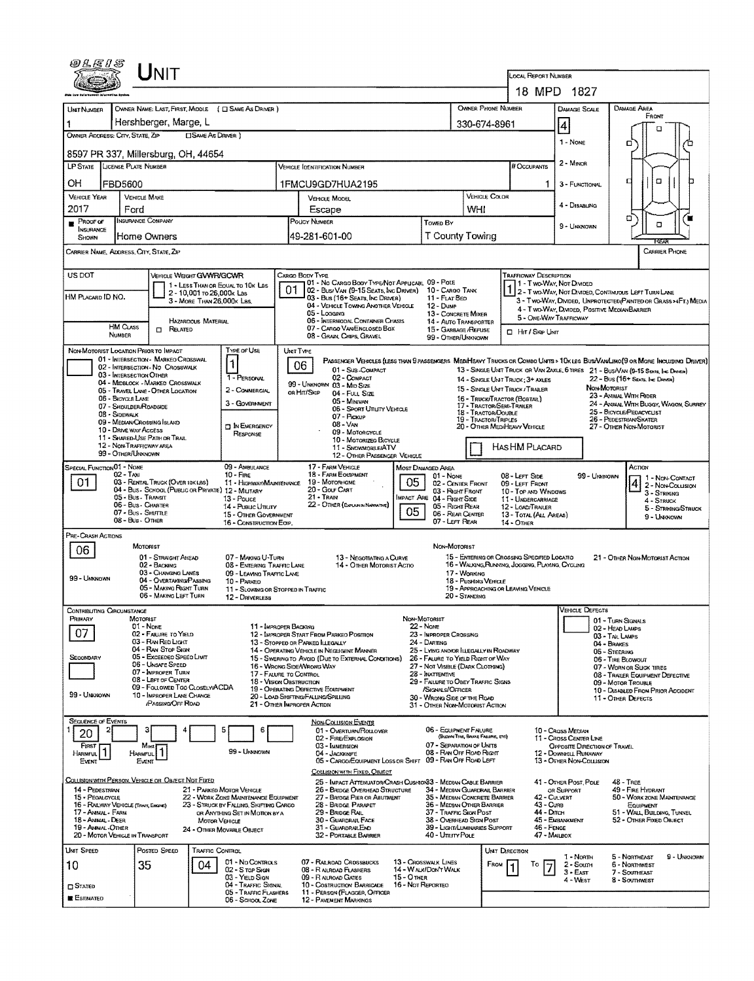| <i>©LE1S</i>                                                                                                                                                                                                                                                                                                                |                                                     | <b>NIT</b>                                                                               |                            |                                                                                 |                                           |                                                                          |                                                                                                           |                   |                                                                                  |                                                                                             |                                                    | .ocal Report Number                                                           |                                                        |                                                   |                                                                                                                               |  |  |
|-----------------------------------------------------------------------------------------------------------------------------------------------------------------------------------------------------------------------------------------------------------------------------------------------------------------------------|-----------------------------------------------------|------------------------------------------------------------------------------------------|----------------------------|---------------------------------------------------------------------------------|-------------------------------------------|--------------------------------------------------------------------------|-----------------------------------------------------------------------------------------------------------|-------------------|----------------------------------------------------------------------------------|---------------------------------------------------------------------------------------------|----------------------------------------------------|-------------------------------------------------------------------------------|--------------------------------------------------------|---------------------------------------------------|-------------------------------------------------------------------------------------------------------------------------------|--|--|
|                                                                                                                                                                                                                                                                                                                             |                                                     |                                                                                          |                            |                                                                                 |                                           |                                                                          |                                                                                                           |                   |                                                                                  |                                                                                             |                                                    | 18 MPD 1827                                                                   |                                                        |                                                   |                                                                                                                               |  |  |
| UNIT NUMBER                                                                                                                                                                                                                                                                                                                 |                                                     |                                                                                          |                            | OWNER NAME: LAST, FIRST, MIDDLE ( C SAME AS DRIVER )                            |                                           |                                                                          |                                                                                                           |                   |                                                                                  |                                                                                             | <b>OWNER PHONE NUMBER</b>                          |                                                                               | DAMAGE SCALE                                           |                                                   | DAMAGE AREA                                                                                                                   |  |  |
| 1                                                                                                                                                                                                                                                                                                                           | 'Hershberger, Marge, L                              |                                                                                          |                            |                                                                                 |                                           |                                                                          |                                                                                                           |                   |                                                                                  |                                                                                             |                                                    | 330-674-8961                                                                  | 4                                                      |                                                   | FRONT<br>n                                                                                                                    |  |  |
| OWNER ADDRESS: CITY, STATE, ZIP<br><b>CISAME AS DRIVER</b> )                                                                                                                                                                                                                                                                |                                                     |                                                                                          |                            |                                                                                 |                                           |                                                                          |                                                                                                           |                   |                                                                                  |                                                                                             |                                                    |                                                                               | 1 - None                                               |                                                   | σ                                                                                                                             |  |  |
| 8597 PR 337, Millersburg, OH, 44654                                                                                                                                                                                                                                                                                         |                                                     |                                                                                          |                            |                                                                                 |                                           |                                                                          |                                                                                                           |                   |                                                                                  |                                                                                             |                                                    |                                                                               | 2 - MINOR                                              |                                                   |                                                                                                                               |  |  |
| LP STATE LICENSE PLATE NUMBER<br><b>VEHICLE IDENTIFICATION NUMBER</b>                                                                                                                                                                                                                                                       |                                                     |                                                                                          |                            |                                                                                 |                                           |                                                                          |                                                                                                           |                   |                                                                                  |                                                                                             |                                                    | # Occupants                                                                   |                                                        |                                                   |                                                                                                                               |  |  |
| OН<br><b>FBD5600</b><br>1FMCU9GD7HUA2195<br><b>VEHICLE YEAR</b><br>VEHICLE MAKE                                                                                                                                                                                                                                             |                                                     |                                                                                          |                            |                                                                                 |                                           |                                                                          |                                                                                                           |                   |                                                                                  |                                                                                             |                                                    | 1                                                                             | 3 - FUNCTIONAL                                         |                                                   | $\Box$<br>Д                                                                                                                   |  |  |
| 2017                                                                                                                                                                                                                                                                                                                        | Ford                                                |                                                                                          |                            |                                                                                 |                                           | Escape                                                                   | VEHICLE MODEL                                                                                             |                   |                                                                                  | WHI                                                                                         | VEHICLE COLOR                                      |                                                                               | 4 - Disabung                                           |                                                   |                                                                                                                               |  |  |
| PROOF OF                                                                                                                                                                                                                                                                                                                    | <b>INSURANCE COMPANY</b>                            |                                                                                          |                            |                                                                                 |                                           | POLICY NUMBER                                                            |                                                                                                           |                   | Towen By                                                                         |                                                                                             |                                                    |                                                                               | 9 - UNKNOWN                                            |                                                   | σ<br>$\Box$                                                                                                                   |  |  |
| INSURANCE<br>SHOWN                                                                                                                                                                                                                                                                                                          | Home Owners                                         |                                                                                          |                            |                                                                                 |                                           | <b>T County Towing</b><br>49-281-601-00                                  |                                                                                                           |                   |                                                                                  |                                                                                             |                                                    |                                                                               | RFA                                                    |                                                   |                                                                                                                               |  |  |
| CARRIER NAME, ADDRESS, CITY, STATE, ZIP                                                                                                                                                                                                                                                                                     |                                                     |                                                                                          |                            |                                                                                 |                                           |                                                                          |                                                                                                           |                   |                                                                                  |                                                                                             | <b>CARRIER PHONE</b>                               |                                                                               |                                                        |                                                   |                                                                                                                               |  |  |
| US DOT<br>VEHICLE WEIGHT GWWR/GCWR<br>CARGO BODY TYPE<br><b>TRAFFICWAY DESCRIPTION</b>                                                                                                                                                                                                                                      |                                                     |                                                                                          |                            |                                                                                 |                                           |                                                                          |                                                                                                           |                   |                                                                                  |                                                                                             |                                                    |                                                                               |                                                        |                                                   |                                                                                                                               |  |  |
| HM PLACARD ID NO.                                                                                                                                                                                                                                                                                                           |                                                     |                                                                                          | 2 - 10,001 To 26,000k Las  | 1 - LESS THAN OR EQUAL TO 10K LBS                                               | 01                                        |                                                                          | 01 - No CARGO BODY TYPE/NOT APPLICABL 09 - POLE<br>02 - Bus/ VAN (9-15 SEATS, INC DRIVER) 10 - CARGO TANK |                   |                                                                                  |                                                                                             |                                                    |                                                                               | 1 - Two-Way, Not Dimped                                |                                                   | 1 2 - T WO-WAY, NOT DIVIDED, CONTINUOUS LEFT TURN LANE                                                                        |  |  |
|                                                                                                                                                                                                                                                                                                                             |                                                     |                                                                                          | 3 - MORE THAN 26,000K LBS. |                                                                                 |                                           | 05 - Logging                                                             | 03 - Bus (16+ Seats, Inc Driver)<br>04 - VEHICLE TOWING ANOTHER VEHICLE                                   |                   | 11 - FLAT BEO<br>12 - Dump                                                       |                                                                                             |                                                    |                                                                               |                                                        |                                                   | 3 - Two-Way, Divided, Unprotected (Painted on Grass >4Ft.) Media<br>4 - T WO-WAY, DIMDED, POSITIVE MEDIANBARRIER              |  |  |
|                                                                                                                                                                                                                                                                                                                             | <b>HM CLASS</b>                                     |                                                                                          | HAZARDOUS MATERIAL         |                                                                                 |                                           |                                                                          | 06 - INTERMODAL CONTAINER CHASIS<br>07 - CARGO VAN/ENCLOSED BOX                                           |                   | 13 - CONCRETE MIXER<br>14 - AUTO TRANSPORTER                                     |                                                                                             |                                                    | 5 - ONE-WAY TRAFFICWAY                                                        |                                                        |                                                   |                                                                                                                               |  |  |
|                                                                                                                                                                                                                                                                                                                             | NUMBER                                              | <b>CI RELATED</b>                                                                        |                            |                                                                                 |                                           |                                                                          | 08 - GRAIN, CHIPS, GRAVEL                                                                                 |                   | 15 - GARBAGE /REFUSE<br>99 - OTHER/UNKNOWN                                       |                                                                                             |                                                    | $\Box$ Hit / Skip Unit                                                        |                                                        |                                                   |                                                                                                                               |  |  |
| NON-MOTORIST LOCATION PRIOR TO IMPACT                                                                                                                                                                                                                                                                                       |                                                     | 01 - INTERSECTION - MARKEO CROSSWAL                                                      |                            | Type or Use                                                                     |                                           | UNIT TYPE                                                                |                                                                                                           |                   |                                                                                  |                                                                                             |                                                    |                                                                               |                                                        |                                                   | PASSENGER VEHICLES (LESS THAN 9 PASSENGERS MEDIMEAVY TRUCKS OR COMBO UNITS > 10K LBS BUS/VAN/LIMO(9 OR MORE INCLUDING DRIVER) |  |  |
|                                                                                                                                                                                                                                                                                                                             |                                                     | 02 - INTERSECTION - NO CROSSWALK                                                         |                            | 1                                                                               |                                           | 06                                                                       | 01 - Sus-Compact                                                                                          |                   |                                                                                  |                                                                                             |                                                    |                                                                               |                                                        |                                                   | 13 - SINGLE UNIT TRUCK OR VAN 2AXLE, 6 TIRES 21 - BUS/VAN (9-15 SEATE, Ive DRIVER)                                            |  |  |
| 03 - INTERSECTION OTHER<br>02 - COMPACT<br>1 - PERSONAL<br>22 - Bus (16+ Seats, Inc Driver)<br>14 - SINGLE UNIT TRUCK: 3+ AXLES<br>04 - MIDBLOCK - MARKED CROSSWALK<br>99 - UNKNOWN 03 - MID SIZE<br>NON-MOTORIST<br>15 - SINGLE UNIT TRUCK / TRAILER<br>2 - COMMERCIAL<br>05 - TRAVEL LANE - OTHER LOCATION<br>OR HIT/SKIP |                                                     |                                                                                          |                            |                                                                                 |                                           |                                                                          |                                                                                                           |                   |                                                                                  |                                                                                             |                                                    |                                                                               |                                                        |                                                   |                                                                                                                               |  |  |
|                                                                                                                                                                                                                                                                                                                             | <b>06 - BICYCLE LANE</b><br>07 - Segui der Roadsige |                                                                                          |                            | 3 - GOVERNMENT                                                                  |                                           |                                                                          | 04 - FULL SIZE<br>05 - Minivan<br>06 - Sport Utility Vehicle                                              |                   |                                                                                  |                                                                                             |                                                    | 16 - Truck/Tractor (BOBTAIL)<br>17 - TRACTOR/SEMI-TRAILER                     |                                                        |                                                   | 23 - ANIMAL WITH RIDER<br>24 - ANIMAL WITH BUGGY, WAGON, SURREY                                                               |  |  |
|                                                                                                                                                                                                                                                                                                                             | 08 - Sidewalk<br>09 - MEDIAN CROSSING ISLAND        |                                                                                          |                            |                                                                                 |                                           | 07 - Pickup<br>$08 - V_{AN}$                                             |                                                                                                           |                   |                                                                                  |                                                                                             | 18 - TRACTOR/DOUBLE<br><b>19 - TRACTOR/TRIPLES</b> |                                                                               |                                                        | 25 - BICYCLE/PEDACYCUST<br>26 - PEDESTRIAN/SKATER |                                                                                                                               |  |  |
|                                                                                                                                                                                                                                                                                                                             | 10 - DRIVE WAY ACCESS                               | 11 - SHARED-USE PATH OR TRAIL                                                            |                            | <b>DIN EMERGENCY</b><br>RESPONSE                                                | 09 - MOTORCYCLE<br>10 - MOTORIZEO BICYCLE |                                                                          |                                                                                                           |                   |                                                                                  |                                                                                             |                                                    | 20 - OTHER MEDIHEAVY VEHICLE                                                  |                                                        |                                                   | 27 - OTHER NON-MOTORIST                                                                                                       |  |  |
| 12 - NON-TRAFFICWAY AREA<br>HASHM PLACARD<br>11 - SNOVMOBILE/ATV<br>99 - OTHER/UNNOWN<br>12 - OTHER PASSENGER VEHICLE                                                                                                                                                                                                       |                                                     |                                                                                          |                            |                                                                                 |                                           |                                                                          |                                                                                                           |                   |                                                                                  |                                                                                             |                                                    |                                                                               |                                                        |                                                   |                                                                                                                               |  |  |
| SPECIAL FUNCTION 01 - NONE                                                                                                                                                                                                                                                                                                  | 02 - Taxi                                           |                                                                                          |                            | 09 - AMBULANCE<br>$10 -$ FIRE                                                   |                                           |                                                                          | 17 - FARM VEHICLE<br>18 - FARM EQUIPMENT                                                                  |                   | <b>MOST DAMAGED AREA</b>                                                         |                                                                                             |                                                    |                                                                               |                                                        |                                                   | Астон                                                                                                                         |  |  |
| 01.                                                                                                                                                                                                                                                                                                                         |                                                     | 03 - RENTAL TRUCK (OVER 10KLBS)                                                          |                            | 11 - HIGHWAY/MAINTENANCE<br>04 - Bus - School (Public or Private) 12 - Military |                                           |                                                                          | 19 - Мотовноме<br>20 - Gouf Carlt                                                                         | 05                | 01 - None<br>02 - CENTER FRONT                                                   |                                                                                             |                                                    | 08 - LEFT SIDE<br>09 - LEFT FRONT                                             |                                                        | 99 - Unknown                                      | 1 - NON-CONTACT<br> 4<br>2 - Non-Collision                                                                                    |  |  |
|                                                                                                                                                                                                                                                                                                                             | 05 - Bus - Transit<br>06 - Bus - Charter            |                                                                                          |                            | 13 - Pouce<br>14 - Pusuc Unury                                                  |                                           | 21 - Train                                                               | 22 - OTHER (EXPLAN IN NARRATIVE)                                                                          |                   | 03 - Right Front<br>MPACT ARE 04 - RIGHT SIDE<br>05 - RIGHT REAR                 |                                                                                             |                                                    | 10 - Top and Windows<br>11 - UNDERGARRIAGE<br>12 - LOAD/TRAILER               |                                                        |                                                   | 3 - STRIKING<br>4 - STRUCK                                                                                                    |  |  |
|                                                                                                                                                                                                                                                                                                                             | 07 - Bus - SHUTTLE<br>08 - Bus - OTHER              |                                                                                          |                            | 15 - OTHER GOVERNMENT<br>16 - CONSTRUCTION EOIP.                                |                                           |                                                                          |                                                                                                           | 05                | 06 - REAR CENTER<br>07 - LEFT REAR                                               |                                                                                             |                                                    | 5 - STRIKING/STRUCK<br>13 - TOTAL (ALL AREAS)<br>9 - Unronown<br>$14 -$ OTHER |                                                        |                                                   |                                                                                                                               |  |  |
| PRE-CRASH ACTIONS                                                                                                                                                                                                                                                                                                           |                                                     |                                                                                          |                            |                                                                                 |                                           |                                                                          |                                                                                                           |                   |                                                                                  |                                                                                             |                                                    |                                                                               |                                                        |                                                   |                                                                                                                               |  |  |
| 06                                                                                                                                                                                                                                                                                                                          | MOTORIST                                            |                                                                                          |                            |                                                                                 |                                           |                                                                          |                                                                                                           |                   | Non-Motorist                                                                     |                                                                                             |                                                    | 15 - ENTERING OR CROSSING SPECIFIED LOCATIO                                   |                                                        |                                                   |                                                                                                                               |  |  |
|                                                                                                                                                                                                                                                                                                                             |                                                     | 01 - STRAIGHT AHEAD<br>02 - BACKING<br>03 - CHANGING LANES                               |                            | 07 - MAKING U-TURN<br>08 - ENTERING TRAFFIC LANE                                |                                           |                                                                          | 13 - NEGOTIATING A CURVE<br>14 - OTHER MOTORIST ACTIO                                                     |                   |                                                                                  | 17 - WORKING                                                                                |                                                    | 16 - WALKING, RUNNING, JOGGING, PLAYING, CYCLING                              |                                                        |                                                   | 21 - OTHER NON-MOTORIST ACTION                                                                                                |  |  |
| 99 - UNKNOWN                                                                                                                                                                                                                                                                                                                |                                                     | 04 - OVERTAKING/PASSING<br>05 - MAKING RIGHT TURN                                        |                            | 09 - LEAVING TRAFFIC LAVE<br>10 - PARKED                                        |                                           |                                                                          |                                                                                                           |                   |                                                                                  |                                                                                             | 18 - Pushing Venicle                               | 19 - APPROACHING OR LEAVING VENICLE                                           |                                                        |                                                   |                                                                                                                               |  |  |
|                                                                                                                                                                                                                                                                                                                             |                                                     | 06 - MAKING LEFT TURN                                                                    |                            | 11 - Slowing or Stopped in Traffic<br>12 - DRIVERLESS                           |                                           |                                                                          |                                                                                                           |                   |                                                                                  | 20 - STANDING                                                                               |                                                    |                                                                               |                                                        |                                                   |                                                                                                                               |  |  |
| CONTRIBUTING CIRCUMSTANCE<br>PRIMARY                                                                                                                                                                                                                                                                                        | MOTORIST                                            |                                                                                          |                            |                                                                                 |                                           |                                                                          |                                                                                                           | Non-Motorist      |                                                                                  |                                                                                             |                                                    |                                                                               | <b>VEHICLE DEFECTS</b>                                 | 01 - TURN SIGNALS                                 |                                                                                                                               |  |  |
| 07                                                                                                                                                                                                                                                                                                                          | 01 - Nove                                           | 02 - FAILURE TO YIELD                                                                    |                            | 11 - IMPROPER BACKING                                                           |                                           |                                                                          | 12 - IMPROPER START FROM PARKEO POSITION                                                                  |                   | <b>22 - Nove</b><br>02 - HEAD LAMPS<br>23 - IMPROPER CROSSING<br>03 - TAIL LAMPS |                                                                                             |                                                    |                                                                               |                                                        |                                                   |                                                                                                                               |  |  |
|                                                                                                                                                                                                                                                                                                                             |                                                     | 03 - RAN Rep Light<br>04 - RAN STOP SIGN                                                 |                            |                                                                                 |                                           | 13 - Stopped or PARKED ILLEGALLY                                         | 14 - OPERATING VEHICLE IN NEGLIGENT MANNER                                                                |                   | 24 - Darting<br>25 - LYING ANDIOR ILLEGALLY IN ROADWAY                           |                                                                                             |                                                    |                                                                               |                                                        | 04 - BRAKES<br>05 - STEERING                      |                                                                                                                               |  |  |
| SECONDARY                                                                                                                                                                                                                                                                                                                   |                                                     | 05 - Exceepeo Spego Limit<br>06 - UNSAFE SPEED                                           |                            |                                                                                 |                                           | 16 - WRONG SIDEANRONG WAY                                                | 15 - Swering to Avoid (Due to External Conditions)                                                        |                   | 26 - FALURE TO YIELD RIGHT OF WAY<br>27 - NOT VISIBLE (DARK CLOTHING)            |                                                                                             |                                                    |                                                                               |                                                        | 06 - TIRE BLOWOUT                                 | 07 - WORN OR SUCK TIRES                                                                                                       |  |  |
|                                                                                                                                                                                                                                                                                                                             |                                                     | 07 - IMPROPER TURN<br>08 - LEFT OF CENTER                                                |                            | 17 - FALURE TO CONTROL<br>18 - VISION OBSTRUCTION                               |                                           |                                                                          |                                                                                                           |                   | 28 - INATTENTIVE                                                                 | 08 - TRALER EQUIPMENT DEFECTIVE<br>29 - FAILURE TO OBEY TRAFFIC SIGNS<br>09 - MOTOR TROUBLE |                                                    |                                                                               |                                                        |                                                   |                                                                                                                               |  |  |
| 99 - Unixnown                                                                                                                                                                                                                                                                                                               |                                                     | 09 - FOLLOWED TOO CLOSELY/ACDA<br>10 - IMPROPER LANE CHANGE<br><b>(PASSING/OFF ROAD)</b> |                            |                                                                                 |                                           | 19 - OPERATING DEFECTIVE EQUIPMENT<br>20 - LOAD SHIFTING/FALUNG/SPILLING |                                                                                                           |                   | /SIGNALS/OFFICER<br>30 - WRONG SIDE OF THE ROAD                                  |                                                                                             |                                                    |                                                                               |                                                        |                                                   | 10 - DISABLED FROM PRIOR ACCIDENT<br>11 - OTHER DEFECTS                                                                       |  |  |
|                                                                                                                                                                                                                                                                                                                             |                                                     |                                                                                          |                            |                                                                                 |                                           | 21 - Other IMPROPER ACTION                                               |                                                                                                           |                   | 31 - OTHER NON-MOTORIST ACTION                                                   |                                                                                             |                                                    |                                                                               |                                                        |                                                   |                                                                                                                               |  |  |
| <b>SEQUENCE OF EVENTS</b><br>20                                                                                                                                                                                                                                                                                             |                                                     |                                                                                          |                            |                                                                                 |                                           |                                                                          | <b>NON-COLLISION EVENTS</b><br>01 - OVERTURN/ROLLOVER                                                     |                   | 06 - EQUIPMENT FAILURE                                                           |                                                                                             |                                                    |                                                                               | 10 - Cross Median                                      |                                                   |                                                                                                                               |  |  |
| FIRST                                                                                                                                                                                                                                                                                                                       | Mast                                                |                                                                                          |                            | 99 - Unknown                                                                    |                                           |                                                                          | 02 - FIRE/EXPLOSION<br>03 - IMMERSION                                                                     |                   | 07 - SEPARATION OF UNITS                                                         |                                                                                             | (BLOWN TIRE, BRAKE FABARE, ETC)                    |                                                                               | 11 - Cross Center Line<br>OPPOSITE DIRECTION OF TRAVEL |                                                   |                                                                                                                               |  |  |
| Harmful<br>Event                                                                                                                                                                                                                                                                                                            | HARMFUL<br>Event                                    |                                                                                          |                            |                                                                                 |                                           |                                                                          | 04 - JACKKNIFE<br>05 - CARGO/EQUIPMENT LOSS OR SHIFT 09 - RAN OFF ROAD LEFT                               |                   | 08 - RAN OFF ROAD RIGHT                                                          |                                                                                             |                                                    |                                                                               | 12 - DOWNHILL RUNAWAY<br>13 - Other Non-Collision      |                                                   |                                                                                                                               |  |  |
| COLUSION WITH PERSON, VEHICLE OR OBJECT NOT FIXED                                                                                                                                                                                                                                                                           |                                                     |                                                                                          |                            |                                                                                 |                                           |                                                                          | COLLISION WITH FIXED, OBJECT<br>25 - IMPACT ATTENUATOR/CRASH CUSHION33 - MEDIAN CABLE BARRIER             |                   |                                                                                  |                                                                                             |                                                    |                                                                               | 41 - OTHER POST, POLE                                  |                                                   | <b>48 - TREE</b>                                                                                                              |  |  |
| 14 - PEDESTRIAN<br>15 - PEOALGYCLE                                                                                                                                                                                                                                                                                          |                                                     |                                                                                          |                            | 21 - PARKED MOTOR VEHICLE<br>22 - WORK ZONG MAINTENANCE EQUIPMENT               |                                           |                                                                          | 26 - BRIDGE OVERHEAD STRUCTURE<br>27 - BRIDGE PIER OR ABUTMENT                                            |                   | 34 - MEDIAN GUARDRAIL BARRIER<br>35 - MEDIAN CONCRETE BARRIER                    |                                                                                             |                                                    | 42 - CULVERT                                                                  | OR SUPPORT                                             |                                                   | 49 - FIRE HYDRANT<br>50 - WORK ZONE MAINTENANCE                                                                               |  |  |
| 16 - RAILWAY VEHICLE (TRAPA, ENGINE)<br>17 - Anamal - Farm                                                                                                                                                                                                                                                                  |                                                     |                                                                                          |                            | 23 - STRUCK BY FALLING, SHIFTING CARGO<br>OR ANYTHING SET IN MOTION BY A        |                                           |                                                                          | 28 - BRIDGE PARAPET<br>29 - BRIDGE RAIL                                                                   |                   | 36 - MEDIAN OTHER BARRIER<br>37 - TRAFFIC SIGN POST                              |                                                                                             |                                                    | 43 - Cure<br>44 - Dirch                                                       |                                                        | EQUIPMENT<br>51 - WALL, BUILDING, TUNNEL          |                                                                                                                               |  |  |
| 45 - EMBANKMENT<br>18 - Animal - Deer<br>30 - GUARDRAIL FACE<br>38 - Overhead Sign Post<br>52 - OTHER FIXED OBJECT<br>MOTOR VEHICLE<br>19 - ANNAL-OTHER<br>31 - GUARDRAILEND<br>39 - LIGHT/LUMINARIES SUPPORT<br>46 - FENCE<br>24 - OTHER MOVABLE OBJECT                                                                    |                                                     |                                                                                          |                            |                                                                                 |                                           |                                                                          |                                                                                                           |                   |                                                                                  |                                                                                             |                                                    |                                                                               |                                                        |                                                   |                                                                                                                               |  |  |
| 20 - MOTOR VEHICLE IN TRANSPORT<br>UMT SPEED                                                                                                                                                                                                                                                                                |                                                     | Posted Speed                                                                             |                            |                                                                                 |                                           |                                                                          | 32 - PORTABLE BARRIER                                                                                     |                   | 40 - Unury Pole                                                                  |                                                                                             |                                                    | 47 - MALBOX                                                                   |                                                        |                                                   |                                                                                                                               |  |  |
| 10                                                                                                                                                                                                                                                                                                                          | 35                                                  |                                                                                          | TRAFFIC CONTROL<br>04      | 01 - No Contracs                                                                |                                           |                                                                          | 07 - RAILROAD CROSSBUCKS                                                                                  |                   | 13 - Crosswalk LINES                                                             |                                                                                             | <b>FROM</b>                                        | UNT DRECTION<br>To                                                            | 1 - Noam<br>2 - Soum                                   |                                                   | 9 - UNKNOWN<br>5 - NORTHEAST<br>6 - Northwest                                                                                 |  |  |
|                                                                                                                                                                                                                                                                                                                             |                                                     |                                                                                          |                            | 02 - S TOP SIGN<br>03 - YIELD SIGN                                              |                                           |                                                                          | 08 - RALROAD FLASHERS<br>09 - RALROAD GATES                                                               | <b>15 - OTHER</b> | 14 - WALK/DON'T WALK                                                             |                                                                                             |                                                    |                                                                               | $3 - EAST$<br>4 - West                                 |                                                   | 7 - Southeast<br>8 - Southmest                                                                                                |  |  |
| <b>C</b> STATED<br><b>■ Estimated</b>                                                                                                                                                                                                                                                                                       |                                                     |                                                                                          |                            | 04 - TRAFFIC SIGNAL<br>05 - TRAFFIC FLASHERS                                    |                                           |                                                                          | 10 - Costruction Barricade<br>11 - PERSON (FLAGGER, OFFICER                                               | 16 - Not Reported |                                                                                  |                                                                                             |                                                    |                                                                               |                                                        |                                                   |                                                                                                                               |  |  |
|                                                                                                                                                                                                                                                                                                                             |                                                     |                                                                                          |                            | 06 - School Zone                                                                |                                           |                                                                          | 12 - PAVEMENT MARKINGS                                                                                    |                   |                                                                                  |                                                                                             |                                                    |                                                                               |                                                        |                                                   |                                                                                                                               |  |  |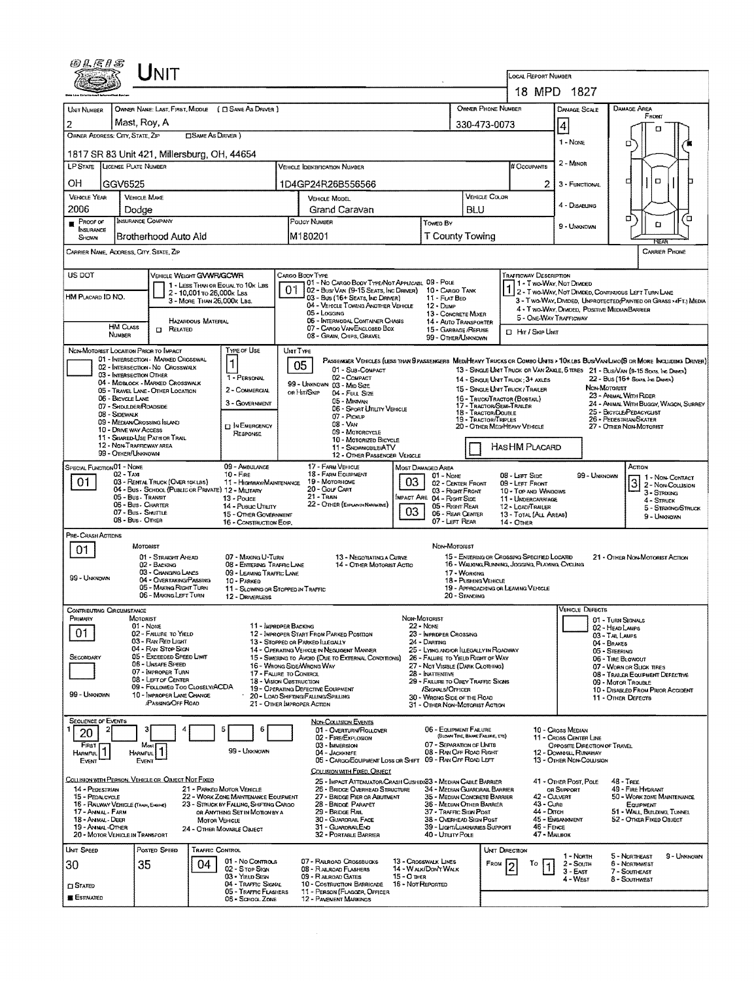| 四旦居日写                                                                                                                     |                                                                      | <b>NIT</b>                                                            |                            |                                                                         |    |                                                                                                                        |                                                                                                                                                                      |                                                               |                                                          |                                                             | LOCAL REPORT NUMBER                                                                                                      |                                                         |                                                                                                                              |  |  |  |
|---------------------------------------------------------------------------------------------------------------------------|----------------------------------------------------------------------|-----------------------------------------------------------------------|----------------------------|-------------------------------------------------------------------------|----|------------------------------------------------------------------------------------------------------------------------|----------------------------------------------------------------------------------------------------------------------------------------------------------------------|---------------------------------------------------------------|----------------------------------------------------------|-------------------------------------------------------------|--------------------------------------------------------------------------------------------------------------------------|---------------------------------------------------------|------------------------------------------------------------------------------------------------------------------------------|--|--|--|
|                                                                                                                           |                                                                      |                                                                       |                            |                                                                         |    |                                                                                                                        |                                                                                                                                                                      |                                                               |                                                          |                                                             |                                                                                                                          | 18 MPD 1827                                             |                                                                                                                              |  |  |  |
| UNIT NUMBER                                                                                                               |                                                                      |                                                                       |                            | OWNER NAME: LAST, FIRST, MIDDLE ( CI SAME AS DRIVER )                   |    |                                                                                                                        |                                                                                                                                                                      |                                                               |                                                          | OWNER PHONE NUMBER                                          |                                                                                                                          | <b>DAMAGE SCALE</b>                                     | <b>DAMAGE AREA</b><br>FRONT                                                                                                  |  |  |  |
| 2                                                                                                                         | Mast, Roy, A                                                         |                                                                       |                            |                                                                         |    | 330-473-0073                                                                                                           |                                                                                                                                                                      | 4                                                             | п                                                        |                                                             |                                                                                                                          |                                                         |                                                                                                                              |  |  |  |
| OWNER ADDRESS: CITY, STATE, ZIP<br><b>CISAME AS DRIVER</b> )                                                              |                                                                      |                                                                       |                            |                                                                         |    |                                                                                                                        |                                                                                                                                                                      |                                                               |                                                          |                                                             |                                                                                                                          | 1 - Nove<br>о                                           |                                                                                                                              |  |  |  |
| 1817 SR 83 Unit 421, Millersburg, OH, 44654                                                                               |                                                                      |                                                                       |                            |                                                                         |    |                                                                                                                        |                                                                                                                                                                      |                                                               |                                                          |                                                             | # Occupants                                                                                                              | 2 - MINOR                                               |                                                                                                                              |  |  |  |
| LP STATE LICENSE PLATE NUMBER<br><b>VEHICLE IDENTIFICATION NUMBER</b>                                                     |                                                                      |                                                                       |                            |                                                                         |    |                                                                                                                        |                                                                                                                                                                      |                                                               |                                                          |                                                             |                                                                                                                          |                                                         |                                                                                                                              |  |  |  |
| ΟH                                                                                                                        | GGV6525<br>1D4GP24R26B556566<br><b>VEHICLE COLOR</b><br>VEHICLE MAKE |                                                                       |                            |                                                                         |    |                                                                                                                        |                                                                                                                                                                      |                                                               |                                                          |                                                             |                                                                                                                          | 3 - FUNCTIONAL                                          | O<br>п                                                                                                                       |  |  |  |
| <b>VEHICLE YEAR</b><br>2006                                                                                               |                                                                      |                                                                       |                            |                                                                         |    | <b>VEHICLE MODEL</b>                                                                                                   |                                                                                                                                                                      |                                                               |                                                          |                                                             |                                                                                                                          | 4 - DISABUNG                                            |                                                                                                                              |  |  |  |
| $P$ ROOF OF                                                                                                               | Dodge<br>INSURANCE COMPANY                                           |                                                                       |                            |                                                                         |    | Grand Caravan<br>POLICY NUMBER                                                                                         | Towed By                                                                                                                                                             | BLU                                                           |                                                          |                                                             |                                                                                                                          | α<br>п                                                  |                                                                                                                              |  |  |  |
| INSURANCE<br>SHOWN                                                                                                        |                                                                      | Brotherhood Auto Aid                                                  |                            |                                                                         |    | IM180201                                                                                                               | <b>T County Towing</b>                                                                                                                                               |                                                               |                                                          |                                                             | 9 - Unknown                                                                                                              | ۵<br>REAR                                               |                                                                                                                              |  |  |  |
| CARRIER NAME, ADDRESS, CITY, STATE, ZIP                                                                                   |                                                                      |                                                                       |                            |                                                                         |    |                                                                                                                        |                                                                                                                                                                      |                                                               |                                                          |                                                             |                                                                                                                          | <b>CARRIER PHONE</b>                                    |                                                                                                                              |  |  |  |
| US DOT                                                                                                                    |                                                                      | VEHICLE WEIGHT GWWR/GCWR                                              |                            |                                                                         |    | CARGO BODY TYPE<br>01 - No CARGO BOOY TYPE/NOT APPLICABL 09 - POLE                                                     |                                                                                                                                                                      |                                                               |                                                          |                                                             | <b>TRAFFICWAY DESCRIPTION</b>                                                                                            |                                                         |                                                                                                                              |  |  |  |
| HM PLACARD ID NO.                                                                                                         |                                                                      |                                                                       | 2 - 10,001 To 26,000 k LBS | 1 - LESS THAN OR EQUAL TO 10K LBS                                       | 01 | [02 - Busi VAN (9-15 SEATS, INC DRIVER) 10 - CARGO TANK                                                                |                                                                                                                                                                      |                                                               |                                                          |                                                             |                                                                                                                          | 1 - Two-Way, Not Divided                                | 2 - T WO-WAY, NOT DIVIDED, CONTINUOUS LEFT TURN LANE                                                                         |  |  |  |
|                                                                                                                           |                                                                      |                                                                       | 3 - MORE THAN 26,000K LBS. |                                                                         |    | 03 - Bus (16+ Seats, Inc Driver)<br>04 - VEHICLE TOWING ANOTHER VEHICLE                                                |                                                                                                                                                                      | 11 - FLAT BED<br>$12 - D$ usie                                |                                                          |                                                             |                                                                                                                          | 4 - T WO-WAY, DIMDED, POSITIVE MEDIANBARRIER            | 3 - Two-Way, DIVIDED, UNPROTECTED (PAINTED OR GRASS >4FT.) MEDIA                                                             |  |  |  |
|                                                                                                                           | <b>HM CLASS</b>                                                      |                                                                       | HAZARDOUS MATERIAL         |                                                                         |    | 05 - Logging<br>06 - INTERMODAL CONTAINER CHASIS                                                                       |                                                                                                                                                                      | 13 - CONCRETE MIXER<br>14 - AUTO TRANSPORTER                  |                                                          |                                                             | 5 - ONE WAY TRAFFICWAY                                                                                                   |                                                         |                                                                                                                              |  |  |  |
|                                                                                                                           | NUMBER                                                               | <b>CI RELATED</b>                                                     |                            |                                                                         |    | 07 - CARGO VAN ENGLOSED BOX<br>08 - GRAIN, CHIPS, GRAVEL                                                               | 15 - GARBAGE /REFUSE<br>99 - OTHER/UNKNOWN                                                                                                                           |                                                               |                                                          | <b>D</b> Her / Skep Uner                                    |                                                                                                                          |                                                         |                                                                                                                              |  |  |  |
| NON-MOTORIST LOCATION PRIOR TO IMPACT                                                                                     |                                                                      | 01 - INTERSECTION - MARKED CROSSWAL                                   |                            | Type or Use                                                             |    | UNIT TYPE                                                                                                              |                                                                                                                                                                      |                                                               |                                                          |                                                             |                                                                                                                          |                                                         | PASSENGER VEHICLES (LESS THAN B PASSENGERS MEDIMEANY TRUCKS OR COMBO UNITS > 10KLBS BUS/VAN/LIMO(9 OR MORE INCLUDING DRIVER) |  |  |  |
|                                                                                                                           | 03 - INTERSECTION OTHER                                              | 02 - INTERSECTION - NO CROSSWALK                                      |                            | 1                                                                       |    | 05<br>01 - Sus-Compact                                                                                                 |                                                                                                                                                                      |                                                               |                                                          |                                                             |                                                                                                                          |                                                         | 13 - SINGLE UNIT TRUCK OR VAN 2AXLE, 6 TIRES 21 - BUS/VAN (9-15 SEATS, INC DRIVER)                                           |  |  |  |
|                                                                                                                           |                                                                      | 04 - MIDBLOCK - MARKED CROSSWALK<br>05 - TRAVEL LANE - OTHER LOCATION |                            | 1 - PERSONAL<br>2 - COMMERCIAL                                          |    | 02 - COMPACT<br>99 - UNKNOWN 03 - MID SIZE                                                                             |                                                                                                                                                                      |                                                               |                                                          |                                                             | 22 - Bus (16+ Seats, Ive Draver)<br>14 - SINGLE UNIT TRUCK: 3+ AXLES<br>NON-MOTORIST<br>15 - SINGLE UNIT TRUCK / TRAILER |                                                         |                                                                                                                              |  |  |  |
|                                                                                                                           | 06 - BICYCLE LANE                                                    |                                                                       |                            | 3 - GOVERNMENT                                                          |    | on Hit/Skip<br>04 - FULL SIZE<br>05 - Minivan                                                                          |                                                                                                                                                                      |                                                               |                                                          |                                                             | 16 - TRUCK/TRACTOR (BOBTAIL)<br>17 - TRACTOR/SEMI-TRAILER                                                                |                                                         | 23 - ANIMAL WITH RIDER<br>24 - ANIMAL WITH BUGGY, WAGON, SURREY                                                              |  |  |  |
|                                                                                                                           | 07 - SHDULDER/ROADSIDE<br>08 - Sidewalk                              |                                                                       |                            |                                                                         |    | 06 - Sport Uttury Venicus<br>07 - PICKUP                                                                               |                                                                                                                                                                      |                                                               | 18 - Tractor/Double<br>19 - TRACTOR/TRIPLES              |                                                             |                                                                                                                          | 25 - BICYCLE/PEDACYCLIST<br>26 - PEDESTRIAN SKATER      |                                                                                                                              |  |  |  |
|                                                                                                                           | 10 - DRIVE WAY ACCESS                                                | 09 - MEDIAN CROSSING ISLAND                                           |                            | <b>DIN EMERGENCY</b><br><b>RESPONSE</b>                                 |    | 08 - VAN<br>09 - MOTORCYCLE                                                                                            |                                                                                                                                                                      |                                                               |                                                          | 20 - OTHER MEDIHEAVY VEHICLE                                |                                                                                                                          | 27 - OTHER NON-MOTORIST                                 |                                                                                                                              |  |  |  |
|                                                                                                                           | 12 - NON-TRAFFICWAY AREA                                             | 11 - SHARED USE PATH OR TRAIL                                         |                            |                                                                         |    | 10 - Motorized Bicycle<br>11 - SNDWMOBILE/ATV                                                                          |                                                                                                                                                                      |                                                               |                                                          |                                                             | HAS HM PLACARD                                                                                                           |                                                         |                                                                                                                              |  |  |  |
| 99 - OTHER/UNKNOWN<br>12 - OTHER PASSENGER VEHICLE                                                                        |                                                                      |                                                                       |                            |                                                                         |    |                                                                                                                        |                                                                                                                                                                      |                                                               |                                                          |                                                             |                                                                                                                          |                                                         |                                                                                                                              |  |  |  |
| SPECIAL FUNCTION 01 - NONE<br>09 - AMBULANCE<br>$10 -$ Fine<br>02 - Taxi                                                  |                                                                      |                                                                       |                            |                                                                         |    | 17 - FARM VEHICLE<br>18 - FARM EQUIPMENT<br>19 - MOTORHOME                                                             |                                                                                                                                                                      | MOST DAMAGED AREA<br>$01 - None$                              |                                                          |                                                             | 08 - LEFT SIDE                                                                                                           | 99 - UNKNOWN                                            | ACTION<br>1 - Non-Contact                                                                                                    |  |  |  |
| 01.<br>03 - RENTAL TRUCK (OVER 10KLBS)<br>11 - HIGHWAY/MAINTENANCE<br>04 - Bus - SCHDOL (PUBLIC OR PRIVATE) 12 - MILITARY |                                                                      |                                                                       |                            |                                                                         |    | 20 - Gour CART<br>21 - TRAIN                                                                                           | 03                                                                                                                                                                   | 02 - CENTER FRONT<br>03 - Right Front                         |                                                          |                                                             | 09 - LEFT FRONT<br>10 - TOP AND WINDOWS                                                                                  |                                                         | 3 <br>2 - Non-Collision<br>3 - STRIKING                                                                                      |  |  |  |
|                                                                                                                           | 05 - Bus - Transit<br>06 - Bus - CHARTER                             |                                                                       |                            | $13 - P_{\text{OUCE}}$<br>14 - Pusuc Unury                              |    | 22 - OTHER (EXPLANNIA NARRATIVE)                                                                                       |                                                                                                                                                                      | <b>IMPACT ARE 04 - RIGHT SIDE</b><br>05 - Right REAR          |                                                          |                                                             | 11 - UNDERCARRIAGE<br>12 - LOAD/TRAILER                                                                                  |                                                         | 4 - STRUCK<br>5 - STRIKING/STRUCK                                                                                            |  |  |  |
|                                                                                                                           | 07 - Bus - SHUTTLE<br>08 - Bus - Other                               |                                                                       |                            | 15 - OTHER GOVERNMENT<br>16 - CONSTRUCTION EOIP.                        |    |                                                                                                                        | 03                                                                                                                                                                   | 06 - REAR CENTER<br>07 - LEFT REAR                            |                                                          |                                                             | 13 - TOTAL (ALL AREAS)<br><b>14 - OTHER</b>                                                                              |                                                         | 9 - Unionown                                                                                                                 |  |  |  |
| PRE- CRASH ACTIONS                                                                                                        |                                                                      |                                                                       |                            |                                                                         |    |                                                                                                                        |                                                                                                                                                                      |                                                               |                                                          |                                                             |                                                                                                                          |                                                         |                                                                                                                              |  |  |  |
| 01.                                                                                                                       | MOTORIST                                                             | 01 - STRAIGHT ANEAD                                                   |                            | 07 - MAKING U-TURN                                                      |    | 13 - NEGOTIATING A CURVE                                                                                               |                                                                                                                                                                      | Non-Mororust                                                  |                                                          |                                                             | 15 - ENTERING OR CROSSING SPECIFIED LOCATID                                                                              |                                                         | 21 - OTHER NON-MOTORIST ACTION                                                                                               |  |  |  |
|                                                                                                                           |                                                                      | 02 - BACKING<br>03 - CHANGING LANES                                   |                            | 08 - ENTERING TRAFFIC LANE<br>09 - LEAVING TRAFFIC LANE                 |    | 14 - OTHER MOTORIST ACTIO                                                                                              |                                                                                                                                                                      | 17 - WORKING                                                  |                                                          | 16 - WALKING FEUNNING, JOSGING, PLAYING, CYCLING            |                                                                                                                          |                                                         |                                                                                                                              |  |  |  |
| 99 - UMKNOWN                                                                                                              |                                                                      | 04 - OVERTAKING/PASSING<br>05 - MAKING RIGHT TURN                     |                            | 10 - PARKED<br>11 - SLOWING OR STOPPED IN TRAFFIC                       |    |                                                                                                                        |                                                                                                                                                                      |                                                               |                                                          | 18 - Pushing Vehicle                                        |                                                                                                                          |                                                         |                                                                                                                              |  |  |  |
|                                                                                                                           |                                                                      | 06 - MAKING LEFT TURN                                                 |                            | 12 - DRIVERLESS                                                         |    |                                                                                                                        |                                                                                                                                                                      |                                                               | 20 - Standing                                            |                                                             | 19 - APPROACHING OR LEAVING VEHICLE                                                                                      |                                                         |                                                                                                                              |  |  |  |
| CONTRIBUTING CIRCUMSTANCE<br>Primary                                                                                      | MOTORIST                                                             |                                                                       |                            |                                                                         |    |                                                                                                                        |                                                                                                                                                                      | Non-Motorist                                                  |                                                          |                                                             |                                                                                                                          | <b>VEHICLE DEFECTS</b>                                  |                                                                                                                              |  |  |  |
| 01                                                                                                                        | $01 - None$                                                          | 02 - FAILURE TO YIELD                                                 |                            | 11 - IMPROPER BACKING                                                   |    |                                                                                                                        |                                                                                                                                                                      | <b>22 - NOME</b>                                              |                                                          |                                                             |                                                                                                                          |                                                         | 01 - TURN SIGNALS<br>02 - HEAD LAMPS                                                                                         |  |  |  |
|                                                                                                                           |                                                                      | 03 - RAN RED LIGHT<br>04 - RAN STOP SIGN                              |                            |                                                                         |    | 12 - IMPROPER START FROM PARKED POSITION<br>23 - IMPROPER CROSSING<br>13 - Stopped or PARKED ILLEGALLY<br>24 - DARTING |                                                                                                                                                                      |                                                               |                                                          |                                                             |                                                                                                                          |                                                         | 03 - TAIL LAMPS<br>04 - BRAKES                                                                                               |  |  |  |
| SECONDARY                                                                                                                 |                                                                      | 05 - Exceeded Speed Limit<br>06 - UNSAFE SPEED                        |                            |                                                                         |    | 14 - OPERATING VEHICLE IN NEGLIGENT MANNER                                                                             | 25 - LYING ANDIOR LLEGALLY IN ROADWAY<br>15 - SWERING TO AVOID (DUE TO EXTERNAL CONDITIONS)<br>26 - FALURE TO YIELD RIGHT OF WAY<br>27 - Not Viseble (Dark Clothing) |                                                               |                                                          |                                                             |                                                                                                                          |                                                         | 05 - STEERING<br>06 - Tiar Browout                                                                                           |  |  |  |
|                                                                                                                           |                                                                      | 07 - IMPROPER TURN<br>08 - LEFT OF CENTER                             |                            | 17 - FALURE TO CONTROL                                                  |    | 16 - WRONG SIDE WRONG WAY                                                                                              | 28 - INATTENTIVE                                                                                                                                                     |                                                               |                                                          | 07 - WORN OR SLICK TIRES<br>08 - TRALER EQUIPMENT DEFECTIVE |                                                                                                                          |                                                         |                                                                                                                              |  |  |  |
| 99 - UNKNOWN                                                                                                              |                                                                      | 09 - FDLLOWED TOO CLOSELY/ACDA<br>10 - IMPROPER LANE CHANGE           |                            |                                                                         |    | 18 - Vision OBSTRUCTION<br>19 - OPERATING DEFECTIVE EQUIPMENT                                                          | 29 - FAILURE TO OBEY TRAFFIC SIGNS<br>/SIGNALS/OFFICER                                                                                                               |                                                               |                                                          |                                                             |                                                                                                                          | 09 - MOTOR TROUBLE<br>10 - DISABLED FROM PRIOR ACCIDENT |                                                                                                                              |  |  |  |
|                                                                                                                           |                                                                      | PASSING OFF ROAD                                                      |                            |                                                                         |    | 20 - LOAD SHIFTING/FALLING/SPILLING<br>21 - OTHER IMPROPER ACTION                                                      |                                                                                                                                                                      | 30 - WRONG SIDE OF THE ROAD<br>31 - OTHER NON-MOTORIST ACTION |                                                          |                                                             |                                                                                                                          |                                                         | 11 - Other Defects                                                                                                           |  |  |  |
| <b>SEQUENCE OF EVENTS</b>                                                                                                 |                                                                      |                                                                       |                            |                                                                         |    | <b>NON-COLUSION EVENTS</b>                                                                                             |                                                                                                                                                                      |                                                               |                                                          |                                                             |                                                                                                                          |                                                         |                                                                                                                              |  |  |  |
| 20                                                                                                                        |                                                                      |                                                                       |                            | 6                                                                       |    | 01 - OVERTURN/ROLLOVER<br>02 - FIRE/EXPLOSION                                                                          |                                                                                                                                                                      | 06 - EQUIPMENT FAILURE                                        |                                                          | (BLOWN TIRE, BRAKE FAILIRE, ETC)                            |                                                                                                                          | 10 - Cross Median<br>11 - Cross Center Line             |                                                                                                                              |  |  |  |
| FIRST<br><b>HARMFUL</b>                                                                                                   | HARMFUL                                                              | Most                                                                  |                            | 99 UNKNOWN                                                              |    | 03 - IMMERSION<br>04 - JACKKNIFE                                                                                       |                                                                                                                                                                      | 07 - SEPARATION OF UNITS<br>08 - RAN OFF ROAD RIGHT           |                                                          |                                                             |                                                                                                                          | OPPOSITE DIRECTION OF TRAVEL<br>12 - DOWNNUL RUNAWAY    |                                                                                                                              |  |  |  |
| Event                                                                                                                     | Event                                                                |                                                                       |                            |                                                                         |    | 05 - CARGO/EQUIPMENT LOSS OR SHIFT 09 - RAN OFF ROAD LEFT<br>COLLISION WITH FIXED, OBJECT                              |                                                                                                                                                                      |                                                               |                                                          |                                                             |                                                                                                                          | 13 - OTHER NON-COLLISION                                |                                                                                                                              |  |  |  |
| COLLISION WITH PERSON, VEHICLE OR OBJECT NOT FIXED                                                                        |                                                                      |                                                                       |                            |                                                                         |    | 25 - IMPACT ATTENUATOR/CRASH CUSHIDN33 - MEDIAN CABLE BARRIER                                                          |                                                                                                                                                                      |                                                               |                                                          |                                                             |                                                                                                                          | 41 - OTHER POST, POLE                                   | $48 - TBEE$                                                                                                                  |  |  |  |
| 14 - PEDESTRIAN<br>15 - PEDALGYCLE                                                                                        |                                                                      |                                                                       |                            | 21 - PARKED MOTOR VEHICLE<br>22 - WORK ZONE MAINTENANCE EQUIPMENT       |    | 26 - BRIDGE OVERHEAD STRUCTURE<br>27 - BRIDGE PIER OR ABUTMENT                                                         |                                                                                                                                                                      | 34 - MEDIAN GUARDRAIL BARRIER<br>35 - MEDIAN CONCRETE BARRIER |                                                          |                                                             | 42 - Culvert                                                                                                             | OR SUPPORT                                              | 49 - FIRE HYDRANT<br>50 - WORK ZONE MAINTENANCE                                                                              |  |  |  |
| 16 - RALWAY VEHICLE (TAGN, ENGINE)<br>17 - Annal - Farm                                                                   |                                                                      |                                                                       |                            | 23 - STRUCK BY FALUNG, SHIFTING CARGO<br>OR ANYTHING SET IN MOTION BY A |    | 28 - BRIDGE PARAPET<br>29 - Bridge Rail                                                                                |                                                                                                                                                                      | 36 - MEDIAN OTHER BARRIER<br>37 - TRAFFIC SIGN POST           |                                                          |                                                             | 43 - Cura<br>44 - Опсн                                                                                                   |                                                         | <b>EQUIPMENT</b><br>51 - WALL, BUILDING, TUNNEL                                                                              |  |  |  |
| 18 - ANMAL - DEER<br>19 - Animal - Other                                                                                  |                                                                      |                                                                       | <b>MOTOR VEHICLE</b>       | 24 - OTHER MOVABLE OBJECT                                               |    | 30 - GUARDRAIL FACE<br>31 - GUARDRAILEND                                                                               |                                                                                                                                                                      |                                                               | 38 - OVERHEAD SIGN POST<br>39 - Light/Luminaries Support |                                                             |                                                                                                                          | 45 - EMBANKMENT<br>46 - FENCE                           | 52 - OTHER FIXED OBJECT                                                                                                      |  |  |  |
| 20 - MOTOR VEHICLE IN TRANSPORT<br><b>UNIT SPEED</b>                                                                      |                                                                      | POSTED SPEED                                                          | TRAFFIC CONTROL            |                                                                         |    | 32 - PORTABLE BARRIER                                                                                                  |                                                                                                                                                                      | 40 - Unury Pole                                               |                                                          |                                                             | 47 - MALBOX                                                                                                              |                                                         |                                                                                                                              |  |  |  |
| 30                                                                                                                        | 35                                                                   |                                                                       | 04                         | 01 - No Controus                                                        |    | 07 - RAILROAD CROSSBUCKS                                                                                               |                                                                                                                                                                      | 13 - CROSSWALK LINES                                          |                                                          | UNIT DIRECTION<br>FROM                                      | To                                                                                                                       | 1 - North<br>2 - South                                  | 5 - NORTHEAST<br>9 - UNKNOWN<br>6 - NORTHWEST                                                                                |  |  |  |
|                                                                                                                           |                                                                      |                                                                       |                            | 02 - Stop Sign<br>03 - YIELD SIGN                                       |    | 08 - RAUROAD FLASHERS<br>09 - RALROAD GATES                                                                            | $15 - 0$ then                                                                                                                                                        | 14 - WALK/DON'T WALK                                          |                                                          |                                                             |                                                                                                                          | $3 - E$ AST<br>4 - West                                 | 7 - SOUTHEAST<br>8 - SOUTHWEST                                                                                               |  |  |  |
| $\square$ Stated                                                                                                          |                                                                      |                                                                       |                            | 04 - Traffic Signal<br>05 - TRAFFIC FLASHERS                            |    | 10 - Costruction Barricade<br>11 - PERSON (FLAGGER, OFFICER                                                            | 16 - Not Reported                                                                                                                                                    |                                                               |                                                          |                                                             |                                                                                                                          |                                                         |                                                                                                                              |  |  |  |
| <b>E</b> Estimated                                                                                                        |                                                                      |                                                                       |                            | 06 - SCHOOL ZONE                                                        |    | 12 - PAVENENT MARKINGS                                                                                                 |                                                                                                                                                                      |                                                               |                                                          |                                                             |                                                                                                                          |                                                         |                                                                                                                              |  |  |  |